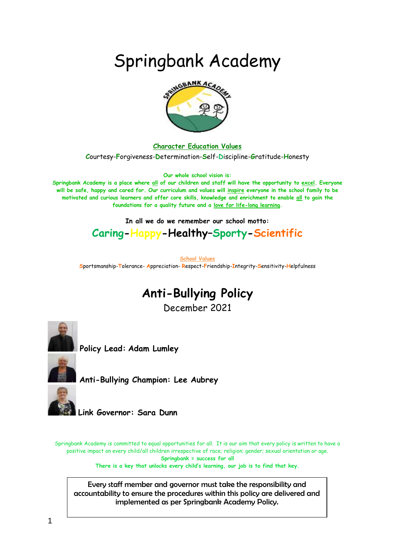# Springbank Academy



**Character Education Values**

**C**ourtesy-**F**orgiveness-**D**etermination-**S**elf-**D**iscipline-**G**ratitude-**H**onesty

**Our whole school vision is:**

**Springbank Academy is a place where all of our children and staff will have the opportunity to excel. Everyone will be safe, happy and cared for. Our curriculum and values will inspire everyone in the school family to be motivated and curious learners and offer core skills, knowledge and enrichment to enable all to gain the foundations for a quality future and a love for life-long learning.**

**In all we do we remember our school motto:**

### **Caring-Happy-Healthy–Sporty-Scientific**

**School Values S**portsmanship-**T**olerance- **A**ppreciation- **R**espect-**F**riendship-**I**ntegrity-**S**ensitivity-**H**elpfulness

## **Anti-Bullying Policy**

December 2021



**Policy Lead: Adam Lumley**

**Anti-Bullying Champion: Lee Aubrey**

**Link Governor: Sara Dunn** 

Springbank Academy is committed to equal opportunities for all. It is our aim that every policy is written to have a positive impact on every child/all children irrespective of race; religion; gender; sexual orientation or age. **Springbank = success for all**

**There is a key that unlocks every child's learning, our job is to find that key.**

Every staff member and governor must take the responsibility and accountability to ensure the procedures within this policy are delivered and implemented as per Springbank Academy Policy.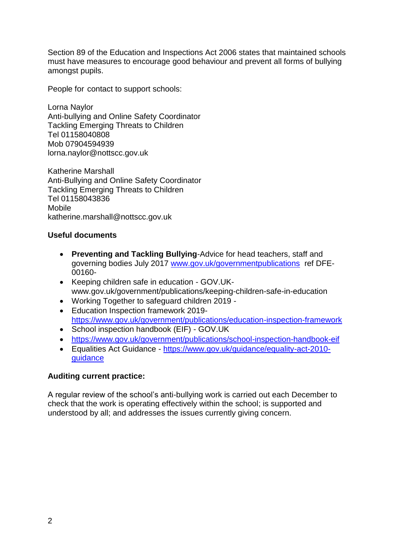Section 89 of the Education and Inspections Act 2006 states that maintained schools must have measures to encourage good behaviour and prevent all forms of bullying amongst pupils.

People for contact to support schools:

Lorna Naylor Anti-bullying and Online Safety Coordinator Tackling Emerging Threats to Children Tel 01158040808 Mob 07904594939 lorna.naylor@nottscc.gov.uk

Katherine Marshall Anti-Bullying and Online Safety Coordinator Tackling Emerging Threats to Children Tel 01158043836 Mobile katherine.marshall@nottscc.gov.uk

#### **Useful documents**

- **Preventing and Tackling Bullying**-Advice for head teachers, staff and governing bodies July 2017 [www.gov.uk/governmentpublications](http://www.gov.uk/governmentpublications) ref DFE-00160-
- Keeping children safe in education GOV.UKwww.gov.uk/government/publications/keeping-children-safe-in-education
- Working Together to safeguard children 2019 -
- Education Inspection framework 2019 <https://www.gov.uk/government/publications/education-inspection-framework>
- School inspection handbook (EIF) GOV.UK
- <https://www.gov.uk/government/publications/school-inspection-handbook-eif>
- Equalities Act Guidance [https://www.gov.uk/guidance/equality-act-2010](https://www.gov.uk/guidance/equality-act-2010-guidance) [guidance](https://www.gov.uk/guidance/equality-act-2010-guidance)

#### **Auditing current practice:**

A regular review of the school's anti-bullying work is carried out each December to check that the work is operating effectively within the school; is supported and understood by all; and addresses the issues currently giving concern.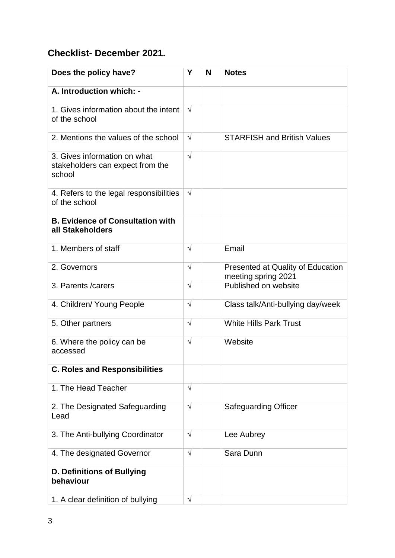### **Checklist- December 2021.**

| Does the policy have?                                                      | Υ          | N | <b>Notes</b>                                             |
|----------------------------------------------------------------------------|------------|---|----------------------------------------------------------|
| A. Introduction which: -                                                   |            |   |                                                          |
| 1. Gives information about the intent<br>of the school                     | $\sqrt{ }$ |   |                                                          |
| 2. Mentions the values of the school                                       | $\sqrt{ }$ |   | <b>STARFISH and British Values</b>                       |
| 3. Gives information on what<br>stakeholders can expect from the<br>school | $\sqrt{ }$ |   |                                                          |
| 4. Refers to the legal responsibilities<br>of the school                   | $\sqrt{ }$ |   |                                                          |
| <b>B. Evidence of Consultation with</b><br>all Stakeholders                |            |   |                                                          |
| 1. Members of staff                                                        | $\sqrt{ }$ |   | Email                                                    |
| 2. Governors                                                               | $\sqrt{ }$ |   | Presented at Quality of Education<br>meeting spring 2021 |
| 3. Parents / carers                                                        | $\sqrt{ }$ |   | Published on website                                     |
| 4. Children/ Young People                                                  | $\sqrt{ }$ |   | Class talk/Anti-bullying day/week                        |
| 5. Other partners                                                          | $\sqrt{ }$ |   | <b>White Hills Park Trust</b>                            |
| 6. Where the policy can be<br>accessed                                     | $\sqrt{ }$ |   | Website                                                  |
| <b>C. Roles and Responsibilities</b>                                       |            |   |                                                          |
| 1. The Head Teacher                                                        | $\sqrt{}$  |   |                                                          |
| 2. The Designated Safeguarding<br>Lead                                     | $\sqrt{ }$ |   | <b>Safeguarding Officer</b>                              |
| 3. The Anti-bullying Coordinator                                           | $\sqrt{ }$ |   | Lee Aubrey                                               |
| 4. The designated Governor                                                 | $\sqrt{ }$ |   | Sara Dunn                                                |
| <b>D. Definitions of Bullying</b><br>behaviour                             |            |   |                                                          |
| 1. A clear definition of bullying                                          | $\sqrt{ }$ |   |                                                          |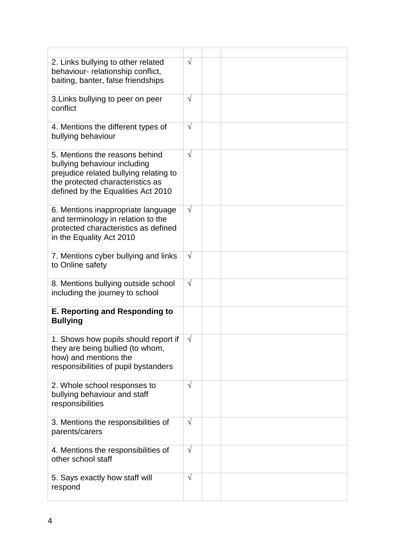| 2. Links bullying to other related<br>behaviour- relationship conflict,<br>baiting, banter, false friendships                                                                      | $\sqrt{}$  |  |
|------------------------------------------------------------------------------------------------------------------------------------------------------------------------------------|------------|--|
| 3. Links bullying to peer on peer<br>conflict                                                                                                                                      | $\sqrt{}$  |  |
| 4. Mentions the different types of<br>bullying behaviour                                                                                                                           | $\sqrt{}$  |  |
| 5. Mentions the reasons behind<br>bullying behaviour including<br>prejudice related bullying relating to<br>the protected characteristics as<br>defined by the Equalities Act 2010 | $\sqrt{ }$ |  |
| 6. Mentions inappropriate language<br>and terminology in relation to the<br>protected characteristics as defined<br>in the Equality Act 2010                                       | $\sqrt{}$  |  |
| 7. Mentions cyber bullying and links<br>to Online safety                                                                                                                           | $\sqrt{}$  |  |
| 8. Mentions bullying outside school<br>including the journey to school                                                                                                             | $\sqrt{}$  |  |
| <b>E. Reporting and Responding to</b><br><b>Bullying</b>                                                                                                                           |            |  |
| 1. Shows how pupils should report if<br>they are being bullied (to whom,<br>how) and mentions the<br>responsibilities of pupil bystanders                                          | $\sqrt{}$  |  |
| 2. Whole school responses to<br>bullying behaviour and staff<br>responsibilities                                                                                                   | $\sqrt{}$  |  |
| 3. Mentions the responsibilities of<br>parents/carers                                                                                                                              | $\sqrt{}$  |  |
| 4. Mentions the responsibilities of<br>other school staff                                                                                                                          | $\sqrt{}$  |  |
| 5. Says exactly how staff will<br>respond                                                                                                                                          | $\sqrt{}$  |  |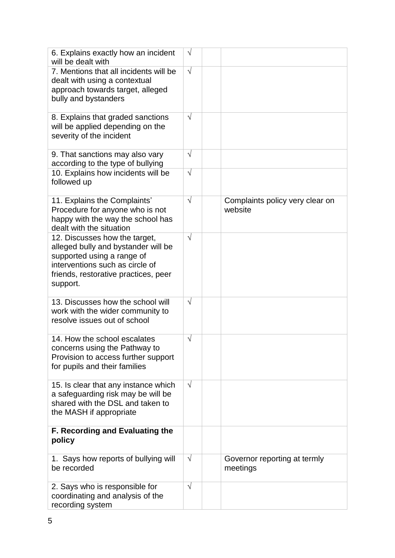| 6. Explains exactly how an incident<br>will be dealt with                                                                                                                                 | $\sqrt{}$  |                                            |
|-------------------------------------------------------------------------------------------------------------------------------------------------------------------------------------------|------------|--------------------------------------------|
| 7. Mentions that all incidents will be<br>dealt with using a contextual<br>approach towards target, alleged<br>bully and bystanders                                                       | $\sqrt{}$  |                                            |
| 8. Explains that graded sanctions<br>will be applied depending on the<br>severity of the incident                                                                                         | $\sqrt{ }$ |                                            |
| 9. That sanctions may also vary<br>according to the type of bullying                                                                                                                      | $\sqrt{}$  |                                            |
| 10. Explains how incidents will be<br>followed up                                                                                                                                         | $\sqrt{}$  |                                            |
| 11. Explains the Complaints'<br>Procedure for anyone who is not<br>happy with the way the school has<br>dealt with the situation                                                          | $\sqrt{ }$ | Complaints policy very clear on<br>website |
| 12. Discusses how the target,<br>alleged bully and bystander will be<br>supported using a range of<br>interventions such as circle of<br>friends, restorative practices, peer<br>support. | $\sqrt{}$  |                                            |
| 13. Discusses how the school will<br>work with the wider community to<br>resolve issues out of school                                                                                     | $\sqrt{}$  |                                            |
| 14. How the school escalates<br>concerns using the Pathway to<br>Provision to access further support<br>for pupils and their families                                                     | $\sqrt{}$  |                                            |
| 15. Is clear that any instance which<br>a safeguarding risk may be will be<br>shared with the DSL and taken to<br>the MASH if appropriate                                                 | $\sqrt{}$  |                                            |
| <b>F. Recording and Evaluating the</b><br>policy                                                                                                                                          |            |                                            |
| 1. Says how reports of bullying will<br>be recorded                                                                                                                                       | $\sqrt{}$  | Governor reporting at termly<br>meetings   |
| 2. Says who is responsible for<br>coordinating and analysis of the<br>recording system                                                                                                    | $\sqrt{}$  |                                            |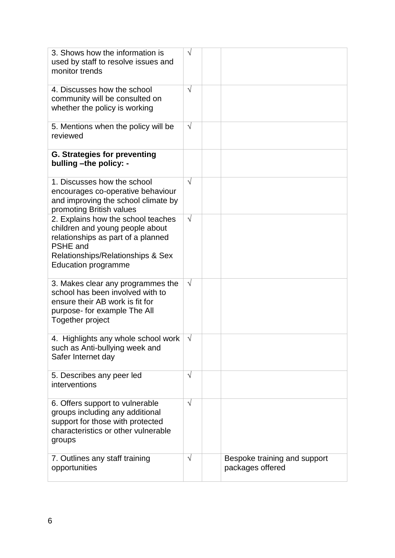| 3. Shows how the information is<br>used by staff to resolve issues and<br>monitor trends                                                                                                          | $\sqrt{}$  |                                                  |
|---------------------------------------------------------------------------------------------------------------------------------------------------------------------------------------------------|------------|--------------------------------------------------|
| 4. Discusses how the school<br>community will be consulted on<br>whether the policy is working                                                                                                    | $\sqrt{ }$ |                                                  |
| 5. Mentions when the policy will be<br>reviewed                                                                                                                                                   | $\sqrt{ }$ |                                                  |
| <b>G. Strategies for preventing</b><br>bulling -the policy: -                                                                                                                                     |            |                                                  |
| 1. Discusses how the school<br>encourages co-operative behaviour<br>and improving the school climate by<br>promoting British values                                                               | $\sqrt{ }$ |                                                  |
| 2. Explains how the school teaches<br>children and young people about<br>relationships as part of a planned<br><b>PSHE</b> and<br>Relationships/Relationships & Sex<br><b>Education programme</b> | $\sqrt{}$  |                                                  |
| 3. Makes clear any programmes the<br>school has been involved with to<br>ensure their AB work is fit for<br>purpose- for example The All<br>Together project                                      | $\sqrt{ }$ |                                                  |
| 4. Highlights any whole school work<br>such as Anti-bullying week and<br>Safer Internet day                                                                                                       | $\sqrt{}$  |                                                  |
| 5. Describes any peer led<br>interventions                                                                                                                                                        | $\sqrt{}$  |                                                  |
| 6. Offers support to vulnerable<br>groups including any additional<br>support for those with protected<br>characteristics or other vulnerable<br>groups                                           | $\sqrt{ }$ |                                                  |
| 7. Outlines any staff training<br>opportunities                                                                                                                                                   | $\sqrt{}$  | Bespoke training and support<br>packages offered |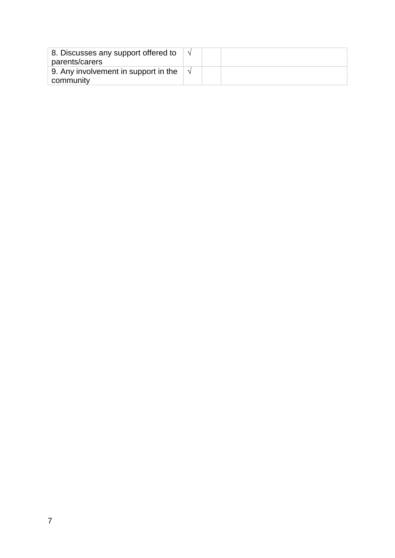| 8. Discusses any support offered to<br>parents/carers |  |  |
|-------------------------------------------------------|--|--|
| 9. Any involvement in support in the<br>community     |  |  |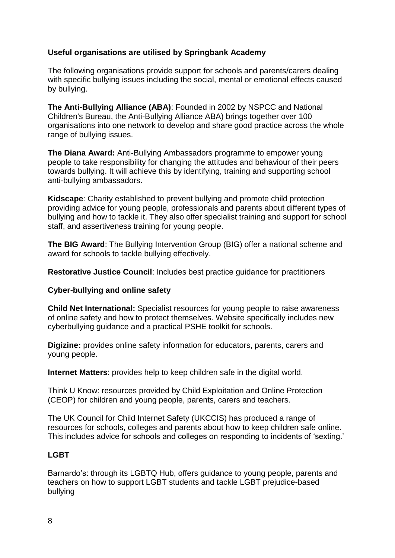#### **Useful organisations are utilised by Springbank Academy**

The following organisations provide support for schools and parents/carers dealing with specific bullying issues including the social, mental or emotional effects caused by bullying.

**The Anti-Bullying Alliance (ABA)**: Founded in 2002 by NSPCC and National Children's Bureau, the Anti-Bullying Alliance ABA) brings together over 100 organisations into one network to develop and share good practice across the whole range of bullying issues.

**The Diana Award:** Anti-Bullying Ambassadors programme to empower young people to take responsibility for changing the attitudes and behaviour of their peers towards bullying. It will achieve this by identifying, training and supporting school anti-bullying ambassadors.

**Kidscape**: Charity established to prevent bullying and promote child protection providing advice for young people, professionals and parents about different types of bullying and how to tackle it. They also offer specialist training and support for school staff, and assertiveness training for young people.

**The BIG Award**: The Bullying Intervention Group (BIG) offer a national scheme and award for schools to tackle bullying effectively.

**Restorative Justice Council**: Includes best practice guidance for practitioners

#### **Cyber-bullying and online safety**

**Child Net International:** Specialist resources for young people to raise awareness of online safety and how to protect themselves. Website specifically includes new cyberbullying guidance and a practical PSHE toolkit for schools.

**Digizine:** provides online safety information for educators, parents, carers and young people.

**Internet Matters**: provides help to keep children safe in the digital world.

Think U Know: resources provided by Child Exploitation and Online Protection (CEOP) for children and young people, parents, carers and teachers.

The UK Council for Child Internet Safety (UKCCIS) has produced a range of resources for schools, colleges and parents about how to keep children safe online. This includes advice for schools and colleges on responding to incidents of 'sexting.'

#### **LGBT**

Barnardo's: through its LGBTQ Hub, offers guidance to young people, parents and teachers on how to support LGBT students and tackle LGBT prejudice-based bullying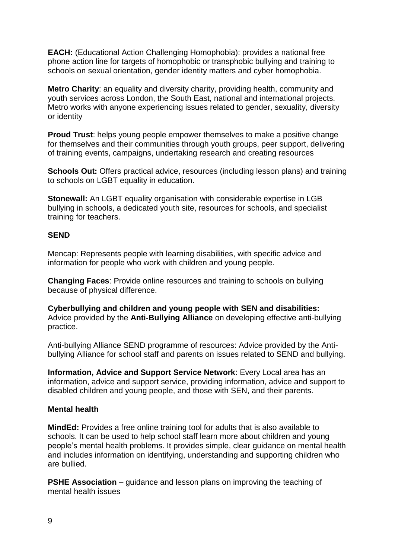**EACH:** (Educational Action Challenging Homophobia): provides a national free phone action line for targets of homophobic or transphobic bullying and training to schools on sexual orientation, gender identity matters and cyber homophobia.

**Metro Charity**: an equality and diversity charity, providing health, community and youth services across London, the South East, national and international projects. Metro works with anyone experiencing issues related to gender, sexuality, diversity or identity

**Proud Trust**: helps young people empower themselves to make a positive change for themselves and their communities through youth groups, peer support, delivering of training events, campaigns, undertaking research and creating resources

**Schools Out:** Offers practical advice, resources (including lesson plans) and training to schools on LGBT equality in education.

**Stonewall:** An LGBT equality organisation with considerable expertise in LGB bullying in schools, a dedicated youth site, resources for schools, and specialist training for teachers.

#### **SEND**

Mencap: Represents people with learning disabilities, with specific advice and information for people who work with children and young people.

**Changing Faces**: Provide online resources and training to schools on bullying because of physical difference.

**Cyberbullying and children and young people with SEN and disabilities:**  Advice provided by the **Anti-Bullying Alliance** on developing effective anti-bullying practice.

Anti-bullying Alliance SEND programme of resources: Advice provided by the Antibullying Alliance for school staff and parents on issues related to SEND and bullying.

**Information, Advice and Support Service Network**: Every Local area has an information, advice and support service, providing information, advice and support to disabled children and young people, and those with SEN, and their parents.

#### **Mental health**

**MindEd:** Provides a free online training tool for adults that is also available to schools. It can be used to help school staff learn more about children and young people's mental health problems. It provides simple, clear guidance on mental health and includes information on identifying, understanding and supporting children who are bullied.

**PSHE Association** – guidance and lesson plans on improving the teaching of mental health issues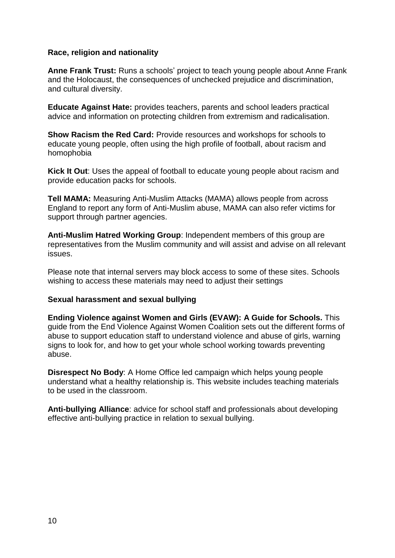#### **Race, religion and nationality**

**Anne Frank Trust:** Runs a schools' project to teach young people about Anne Frank and the Holocaust, the consequences of unchecked prejudice and discrimination, and cultural diversity.

**Educate Against Hate:** provides teachers, parents and school leaders practical advice and information on protecting children from extremism and radicalisation.

**Show Racism the Red Card:** Provide resources and workshops for schools to educate young people, often using the high profile of football, about racism and homophobia

**Kick It Out**: Uses the appeal of football to educate young people about racism and provide education packs for schools.

**Tell MAMA:** Measuring Anti-Muslim Attacks (MAMA) allows people from across England to report any form of Anti-Muslim abuse, MAMA can also refer victims for support through partner agencies.

**Anti-Muslim Hatred Working Group**: Independent members of this group are representatives from the Muslim community and will assist and advise on all relevant issues.

Please note that internal servers may block access to some of these sites. Schools wishing to access these materials may need to adjust their settings

#### **Sexual harassment and sexual bullying**

**Ending Violence against Women and Girls (EVAW): A Guide for Schools.** This guide from the End Violence Against Women Coalition sets out the different forms of abuse to support education staff to understand violence and abuse of girls, warning signs to look for, and how to get your whole school working towards preventing abuse.

**Disrespect No Body**: A Home Office led campaign which helps young people understand what a healthy relationship is. This website includes teaching materials to be used in the classroom.

**Anti-bullying Alliance**: advice for school staff and professionals about developing effective anti-bullying practice in relation to sexual bullying.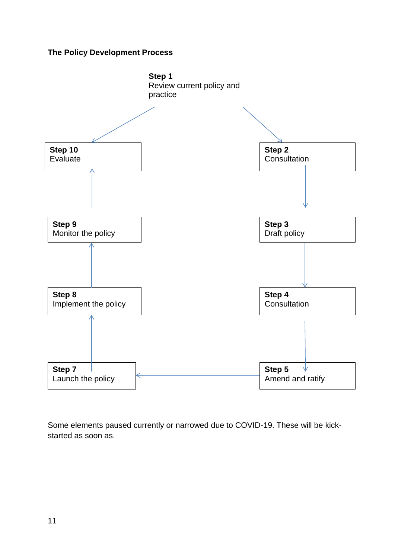#### **The Policy Development Process**



Some elements paused currently or narrowed due to COVID-19. These will be kickstarted as soon as.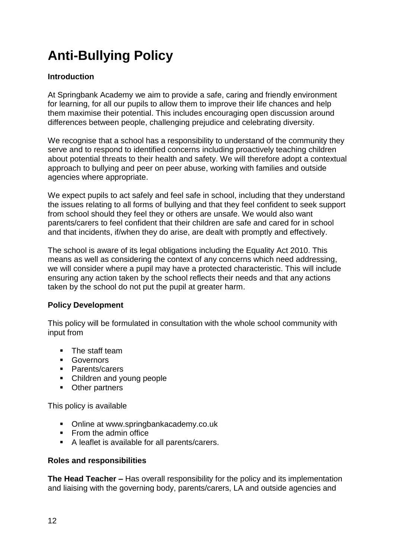# **Anti-Bullying Policy**

#### **Introduction**

At Springbank Academy we aim to provide a safe, caring and friendly environment for learning, for all our pupils to allow them to improve their life chances and help them maximise their potential. This includes encouraging open discussion around differences between people, challenging prejudice and celebrating diversity.

We recognise that a school has a responsibility to understand of the community they serve and to respond to identified concerns including proactively teaching children about potential threats to their health and safety. We will therefore adopt a contextual approach to bullying and peer on peer abuse, working with families and outside agencies where appropriate.

We expect pupils to act safely and feel safe in school, including that they understand the issues relating to all forms of bullying and that they feel confident to seek support from school should they feel they or others are unsafe. We would also want parents/carers to feel confident that their children are safe and cared for in school and that incidents, if/when they do arise, are dealt with promptly and effectively.

The school is aware of its legal obligations including the Equality Act 2010. This means as well as considering the context of any concerns which need addressing, we will consider where a pupil may have a protected characteristic. This will include ensuring any action taken by the school reflects their needs and that any actions taken by the school do not put the pupil at greater harm.

#### **Policy Development**

This policy will be formulated in consultation with the whole school community with input from

- **The staff team**
- **Governors**
- Parents/carers
- Children and young people
- Other partners

This policy is available

- Online at www.springbankacademy.co.uk
- **From the admin office**
- A leaflet is available for all parents/carers.

#### **Roles and responsibilities**

**The Head Teacher –** Has overall responsibility for the policy and its implementation and liaising with the governing body, parents/carers, LA and outside agencies and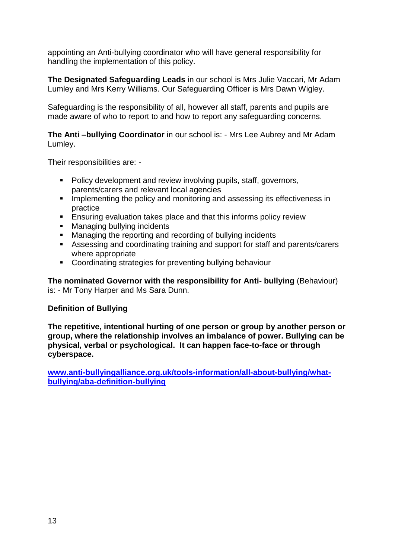appointing an Anti-bullying coordinator who will have general responsibility for handling the implementation of this policy.

**The Designated Safeguarding Leads** in our school is Mrs Julie Vaccari, Mr Adam Lumley and Mrs Kerry Williams. Our Safeguarding Officer is Mrs Dawn Wigley.

Safeguarding is the responsibility of all, however all staff, parents and pupils are made aware of who to report to and how to report any safeguarding concerns.

**The Anti –bullying Coordinator** in our school is: - Mrs Lee Aubrey and Mr Adam Lumley.

Their responsibilities are: -

- Policy development and review involving pupils, staff, governors, parents/carers and relevant local agencies
- **IMPLEMENTIFY IMPLEMENTIFY IN A MONOCONTER** In Implementing the policy and monitoring and assessing its effectiveness in practice
- **Ensuring evaluation takes place and that this informs policy review**
- **Managing bullying incidents**
- **Managing the reporting and recording of bullying incidents**
- Assessing and coordinating training and support for staff and parents/carers where appropriate
- Coordinating strategies for preventing bullying behaviour

**The nominated Governor with the responsibility for Anti- bullying** (Behaviour) is: - Mr Tony Harper and Ms Sara Dunn.

#### **Definition of Bullying**

**The repetitive, intentional hurting of one person or group by another person or group, where the relationship involves an imbalance of power. Bullying can be physical, verbal or psychological. It can happen face-to-face or through cyberspace.**

**[www.anti-bullyingalliance.org.uk/tools-information/all-about-bullying/what](http://www.anti-bullyingalliance.org.uk/tools-information/all-about-bullying/what-bullying/aba-definition-bullying)[bullying/aba-definition-bullying](http://www.anti-bullyingalliance.org.uk/tools-information/all-about-bullying/what-bullying/aba-definition-bullying)**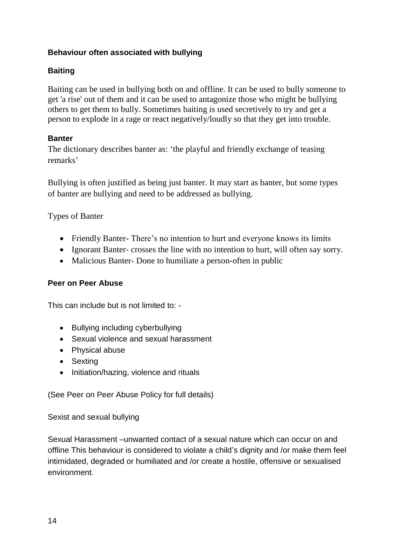#### **Behaviour often associated with bullying**

#### **Baiting**

Baiting can be used in bullying both on and offline. It can be used to bully someone to get 'a rise' out of them and it can be used to antagonize those who might be bullying others to get them to bully. Sometimes baiting is used secretively to try and get a person to explode in a rage or react negatively/loudly so that they get into trouble.

#### **Banter**

The dictionary describes banter as: 'the playful and friendly exchange of teasing remarks'

Bullying is often justified as being just banter. It may start as banter, but some types of banter are bullying and need to be addressed as bullying.

Types of Banter

- Friendly Banter-There's no intention to hurt and everyone knows its limits
- Ignorant Banter- crosses the line with no intention to hurt, will often say sorry.
- Malicious Banter-Done to humiliate a person-often in public

#### **Peer on Peer Abuse**

This can include but is not limited to: -

- Bullying including cyberbullying
- Sexual violence and sexual harassment
- Physical abuse
- Sexting
- Initiation/hazing, violence and rituals

(See Peer on Peer Abuse Policy for full details)

Sexist and sexual bullying

Sexual Harassment –unwanted contact of a sexual nature which can occur on and offline This behaviour is considered to violate a child's dignity and /or make them feel intimidated, degraded or humiliated and /or create a hostile, offensive or sexualised environment.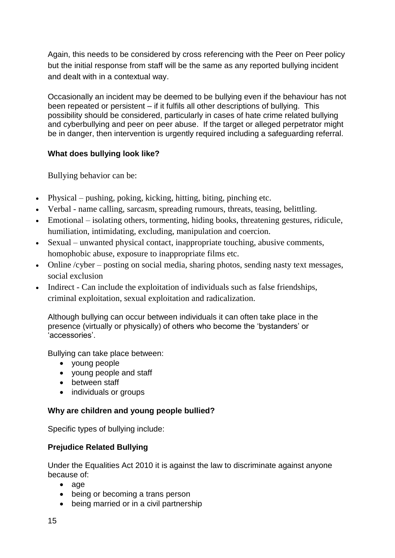Again, this needs to be considered by cross referencing with the Peer on Peer policy but the initial response from staff will be the same as any reported bullying incident and dealt with in a contextual way.

Occasionally an incident may be deemed to be bullying even if the behaviour has not been repeated or persistent – if it fulfils all other descriptions of bullying. This possibility should be considered, particularly in cases of hate crime related bullying and cyberbullying and peer on peer abuse. If the target or alleged perpetrator might be in danger, then intervention is urgently required including a safeguarding referral.

#### **What does bullying look like?**

Bullying behavior can be:

- Physical pushing, poking, kicking, hitting, biting, pinching etc.
- Verbal name calling, sarcasm, spreading rumours, threats, teasing, belittling.
- Emotional isolating others, tormenting, hiding books, threatening gestures, ridicule, humiliation, intimidating, excluding, manipulation and coercion.
- Sexual unwanted physical contact, inappropriate touching, abusive comments, homophobic abuse, exposure to inappropriate films etc.
- Online /cyber posting on social media, sharing photos, sending nasty text messages, social exclusion
- Indirect Can include the exploitation of individuals such as false friendships, criminal exploitation, sexual exploitation and radicalization.

Although bullying can occur between individuals it can often take place in the presence (virtually or physically) of others who become the 'bystanders' or 'accessories'.

Bullying can take place between:

- young people
- young people and staff
- between staff
- individuals or groups

#### **Why are children and young people bullied?**

Specific types of bullying include:

#### **Prejudice Related Bullying**

Under the Equalities Act 2010 it is against the law to discriminate against anyone because of:

- age
- being or becoming a trans person
- being married or in a civil partnership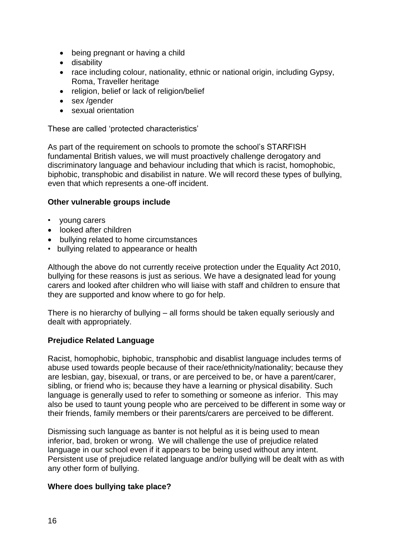- being pregnant or having a child
- **•** disability
- race including colour, nationality, ethnic or national origin, including Gypsy, Roma, Traveller heritage
- religion, belief or lack of religion/belief
- sex / aender
- sexual orientation

These are called 'protected characteristics'

As part of the requirement on schools to promote the school's STARFISH fundamental British values, we will must proactively challenge derogatory and discriminatory language and behaviour including that which is racist, homophobic, biphobic, transphobic and disabilist in nature. We will record these types of bullying, even that which represents a one-off incident.

#### **Other vulnerable groups include**

- young carers
- looked after children
- bullying related to home circumstances
- bullying related to appearance or health

Although the above do not currently receive protection under the Equality Act 2010, bullying for these reasons is just as serious. We have a designated lead for young carers and looked after children who will liaise with staff and children to ensure that they are supported and know where to go for help.

There is no hierarchy of bullying – all forms should be taken equally seriously and dealt with appropriately.

#### **Prejudice Related Language**

Racist, homophobic, biphobic, transphobic and disablist language includes terms of abuse used towards people because of their race/ethnicity/nationality; because they are lesbian, gay, bisexual, or trans, or are perceived to be, or have a parent/carer, sibling, or friend who is; because they have a learning or physical disability. Such language is generally used to refer to something or someone as inferior. This may also be used to taunt young people who are perceived to be different in some way or their friends, family members or their parents/carers are perceived to be different.

Dismissing such language as banter is not helpful as it is being used to mean inferior, bad, broken or wrong. We will challenge the use of prejudice related language in our school even if it appears to be being used without any intent. Persistent use of prejudice related language and/or bullying will be dealt with as with any other form of bullying.

#### **Where does bullying take place?**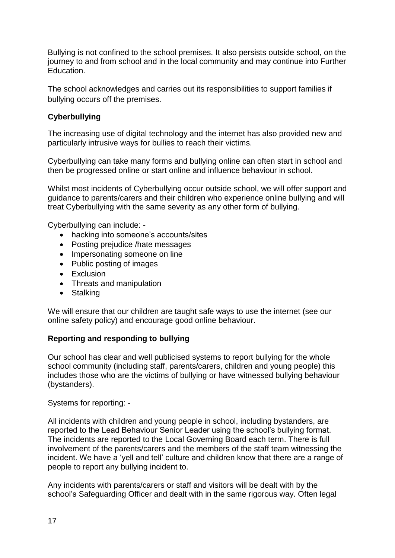Bullying is not confined to the school premises. It also persists outside school, on the journey to and from school and in the local community and may continue into Further Education.

The school acknowledges and carries out its responsibilities to support families if bullying occurs off the premises.

#### **Cyberbullying**

The increasing use of digital technology and the internet has also provided new and particularly intrusive ways for bullies to reach their victims.

Cyberbullying can take many forms and bullying online can often start in school and then be progressed online or start online and influence behaviour in school.

Whilst most incidents of Cyberbullying occur outside school, we will offer support and guidance to parents/carers and their children who experience online bullying and will treat Cyberbullying with the same severity as any other form of bullying.

Cyberbullying can include: -

- hacking into someone's accounts/sites
- Posting prejudice /hate messages
- Impersonating someone on line
- Public posting of images
- Exclusion
- Threats and manipulation
- Stalking

We will ensure that our children are taught safe ways to use the internet (see our online safety policy) and encourage good online behaviour.

#### **Reporting and responding to bullying**

Our school has clear and well publicised systems to report bullying for the whole school community (including staff, parents/carers, children and young people) this includes those who are the victims of bullying or have witnessed bullying behaviour (bystanders).

Systems for reporting: -

All incidents with children and young people in school, including bystanders, are reported to the Lead Behaviour Senior Leader using the school's bullying format. The incidents are reported to the Local Governing Board each term. There is full involvement of the parents/carers and the members of the staff team witnessing the incident. We have a 'yell and tell' culture and children know that there are a range of people to report any bullying incident to.

Any incidents with parents/carers or staff and visitors will be dealt with by the school's Safeguarding Officer and dealt with in the same rigorous way. Often legal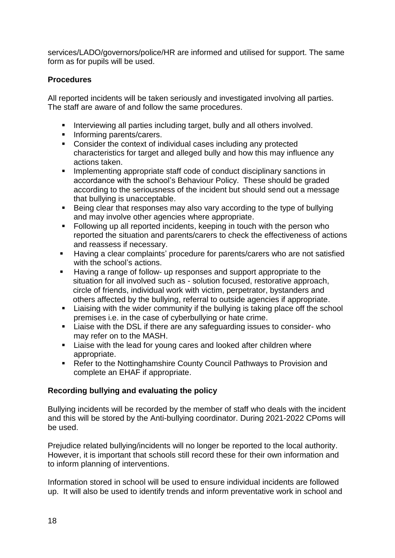services/LADO/governors/police/HR are informed and utilised for support. The same form as for pupils will be used.

#### **Procedures**

All reported incidents will be taken seriously and investigated involving all parties. The staff are aware of and follow the same procedures.

- **Interviewing all parties including target, bully and all others involved.**
- **Informing parents/carers.**
- Consider the context of individual cases including any protected characteristics for target and alleged bully and how this may influence any actions taken.
- **IMPLEMENTIFY IMPLEMENT IN A SUMPT THE IMPLEMENT IN STARK IN STARK IN STARK IN STARK IN STARK IN STARK IN STARK IN STARK IN STARK IN STARK IN STARK IN STARK IN STARK IN STARK IN STARK IN STARK IN STARK IN STARK IN STARK IN** accordance with the school's Behaviour Policy. These should be graded according to the seriousness of the incident but should send out a message that bullying is unacceptable.
- Being clear that responses may also vary according to the type of bullying and may involve other agencies where appropriate.
- Following up all reported incidents, keeping in touch with the person who reported the situation and parents/carers to check the effectiveness of actions and reassess if necessary.
- Having a clear complaints' procedure for parents/carers who are not satisfied with the school's actions.
- Having a range of follow- up responses and support appropriate to the situation for all involved such as - solution focused, restorative approach, circle of friends, individual work with victim, perpetrator, bystanders and others affected by the bullying, referral to outside agencies if appropriate.
- **E** Liaising with the wider community if the bullying is taking place off the school premises i.e. in the case of cyberbullying or hate crime.
- Liaise with the DSL if there are any safeguarding issues to consider- who may refer on to the MASH.
- **EXEC** Liaise with the lead for young cares and looked after children where appropriate.
- Refer to the Nottinghamshire County Council Pathways to Provision and complete an EHAF if appropriate.

#### **Recording bullying and evaluating the policy**

Bullying incidents will be recorded by the member of staff who deals with the incident and this will be stored by the Anti-bullying coordinator. During 2021-2022 CPoms will be used.

Prejudice related bullying/incidents will no longer be reported to the local authority. However, it is important that schools still record these for their own information and to inform planning of interventions.

Information stored in school will be used to ensure individual incidents are followed up. It will also be used to identify trends and inform preventative work in school and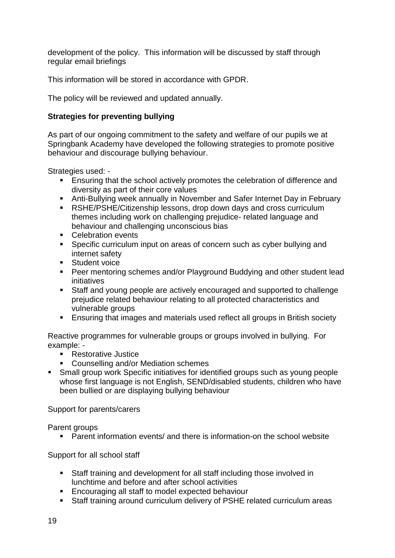development of the policy. This information will be discussed by staff through regular email briefings

This information will be stored in accordance with GPDR.

The policy will be reviewed and updated annually.

#### **Strategies for preventing bullying**

As part of our ongoing commitment to the safety and welfare of our pupils we at Springbank Academy have developed the following strategies to promote positive behaviour and discourage bullying behaviour.

Strategies used: -

- **Ensuring that the school actively promotes the celebration of difference and** diversity as part of their core values
- Anti-Bullying week annually in November and Safer Internet Day in February
- RSHE/PSHE/Citizenship lessons, drop down days and cross curriculum themes including work on challenging prejudice- related language and behaviour and challenging unconscious bias
- **Celebration events**
- **Specific curriculum input on areas of concern such as cyber bullying and** internet safety
- **Student voice**
- Peer mentoring schemes and/or Playground Buddying and other student lead initiatives
- Staff and young people are actively encouraged and supported to challenge prejudice related behaviour relating to all protected characteristics and vulnerable groups
- Ensuring that images and materials used reflect all groups in British society

Reactive programmes for vulnerable groups or groups involved in bullying. For example: -

- **Restorative Justice**
- **Counselling and/or Mediation schemes**
- Small group work Specific initiatives for identified groups such as young people whose first language is not English, SEND/disabled students, children who have been bullied or are displaying bullying behaviour

Support for parents/carers

Parent groups

Parent information events/ and there is information-on the school website

Support for all school staff

- Staff training and development for all staff including those involved in lunchtime and before and after school activities
- **Encouraging all staff to model expected behaviour**
- Staff training around curriculum delivery of PSHE related curriculum areas